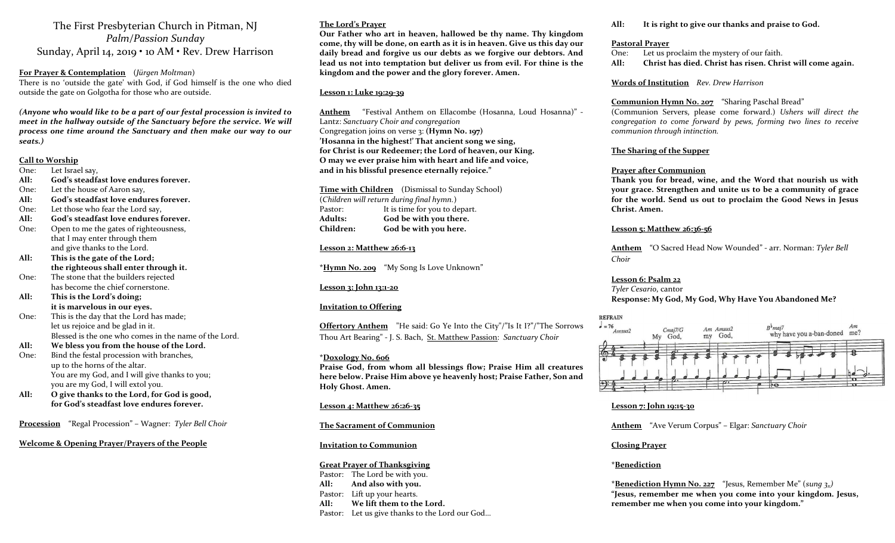The First Presbyterian Church in Pitman, NJ Palm/Passion Sunday Sunday, April 14, 2019 • 10 AM • Rev. Drew Harrison

For Prayer & Contemplation (Jürgen Moltman) There is no 'outside the gate' with God, if God himself is the one who died outside the gate on Golgotha for those who are outside.

(Anyone who would like to be a part of our festal procession is invited to meet in the hallway outside of the Sanctuary before the service. We will process one time around the Sanctuary and then make our way to our seats.)

#### Call to Worship

- One: Let Israel say,
- All: God's steadfast love endures forever.
- One: Let the house of Aaron say,
- All: God's steadfast love endures forever.
- One: Let those who fear the Lord say,
- All: God's steadfast love endures forever.
- One: Open to me the gates of righteousness, that I may enter through them and give thanks to the Lord.
- All: This is the gate of the Lord; the righteous shall enter through it.
- One: The stone that the builders rejected has become the chief cornerstone.
- All: This is the Lord's doing; it is marvelous in our eyes.
- One: This is the day that the Lord has made; let us rejoice and be glad in it. Blessed is the one who comes in the name of the Lord.
- All: We bless you from the house of the Lord.
- One: Bind the festal procession with branches, up to the horns of the altar. You are my God, and I will give thanks to you; you are my God, I will extol you.
- All: O give thanks to the Lord, for God is good, for God's steadfast love endures forever.

Procession "Regal Procession" – Wagner: Tyler Bell Choir

#### Welcome & Opening Prayer/Prayers of the People

### The Lord's Prayer

Our Father who art in heaven, hallowed be thy name. Thy kingdom come, thy will be done, on earth as it is in heaven. Give us this day our daily bread and forgive us our debts as we forgive our debtors. And lead us not into temptation but deliver us from evil. For thine is the kingdom and the power and the glory forever. Amen.

#### Lesson 1: Luke 19:29-39

Anthem "Festival Anthem on Ellacombe (Hosanna, Loud Hosanna)" - Lantz: Sanctuary Choir and congregation Congregation joins on verse 3: (Hymn No. 197) 'Hosanna in the highest!' That ancient song we sing, for Christ is our Redeemer; the Lord of heaven, our King. O may we ever praise him with heart and life and voice, and in his blissful presence eternally rejoice."

Time with Children (Dismissal to Sunday School)

(Children will return during final hymn.) Pastor: It is time for you to depart. Adults: God be with you there. Children: God be with you here.

#### Lesson 2: Matthew 26:6-13

\*Hymn No. 209 "My Song Is Love Unknown"

#### Lesson 3: John 13:1-20

#### Invitation to Offering

Offertory Anthem "He said: Go Ye Into the City"/"Is It I?"/"The Sorrows Thou Art Bearing" - J. S. Bach, St. Matthew Passion: Sanctuary Choir

#### \*Doxology No. 606

Praise God, from whom all blessings flow; Praise Him all creatures here below. Praise Him above ye heavenly host; Praise Father, Son and Holy Ghost. Amen.

#### Lesson 4: Matthew 26:26-35

The Sacrament of Communion

#### Invitation to Communion

#### Great Prayer of Thanksgiving

Pastor: The Lord be with you. All: And also with you. Pastor: Lift up your hearts. All: We lift them to the Lord. Pastor: Let us give thanks to the Lord our God…

#### All: It is right to give our thanks and praise to God.

#### Pastoral Prayer

One: Let us proclaim the mystery of our faith.

All: Christ has died. Christ has risen. Christ will come again.

#### Words of Institution Rev. Drew Harrison

#### Communion Hymn No. 207 "Sharing Paschal Bread"

(Communion Servers, please come forward.) Ushers will direct the congregation to come forward by pews, forming two lines to receive communion through intinction.

#### The Sharing of the Supper

#### Prayer after Communion

Thank you for bread, wine, and the Word that nourish us with your grace. Strengthen and unite us to be a community of grace for the world. Send us out to proclaim the Good News in Jesus Christ. Amen.

#### Lesson 5: Matthew 26:36-56

Anthem "O Sacred Head Now Wounded" - arr. Norman: Tyler Bell Choir

#### Lesson 6: Psalm 22

Tyler Cesario, cantor Response: My God, My God, Why Have You Abandoned Me?

#### **REFRAIN**



#### Lesson 7: John 19:15-30

Anthem "Ave Verum Corpus" – Elgar: Sanctuary Choir

#### Closing Prayer

#### \*Benediction

\***Benediction Hymn No. 227** "Jesus, Remember Me" (sung  $3x$ ) "Jesus, remember me when you come into your kingdom. Jesus, remember me when you come into your kingdom."